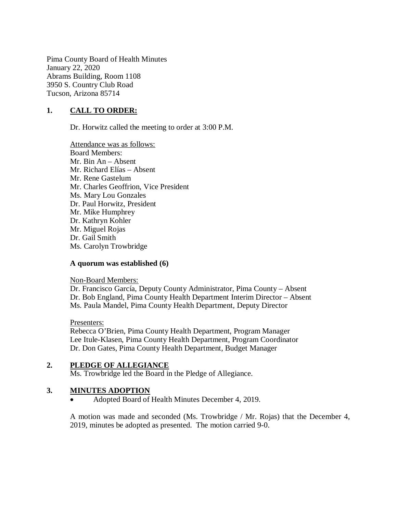Pima County Board of Health Minutes January 22, 2020 Abrams Building, Room 1108 3950 S. Country Club Road Tucson, Arizona 85714

### **1. CALL TO ORDER:**

Dr. Horwitz called the meeting to order at 3:00 P.M.

Attendance was as follows: Board Members: Mr. Bin An – Absent Mr. Richard Elías – Absent Mr. Rene Gastelum Mr. Charles Geoffrion, Vice President Ms. Mary Lou Gonzales Dr. Paul Horwitz, President Mr. Mike Humphrey Dr. Kathryn Kohler Mr. Miguel Rojas Dr. Gail Smith Ms. Carolyn Trowbridge

#### **A quorum was established (6)**

Non-Board Members:

Dr. Francisco García, Deputy County Administrator, Pima County – Absent Dr. Bob England, Pima County Health Department Interim Director – Absent Ms. Paula Mandel, Pima County Health Department, Deputy Director

Presenters:

Rebecca O'Brien, Pima County Health Department, Program Manager Lee Itule-Klasen, Pima County Health Department, Program Coordinator Dr. Don Gates, Pima County Health Department, Budget Manager

# **2. PLEDGE OF ALLEGIANCE**

Ms. Trowbridge led the Board in the Pledge of Allegiance.

#### **3. MINUTES ADOPTION**

Adopted Board of Health Minutes December 4, 2019.

A motion was made and seconded (Ms. Trowbridge / Mr. Rojas) that the December 4, 2019, minutes be adopted as presented. The motion carried 9-0.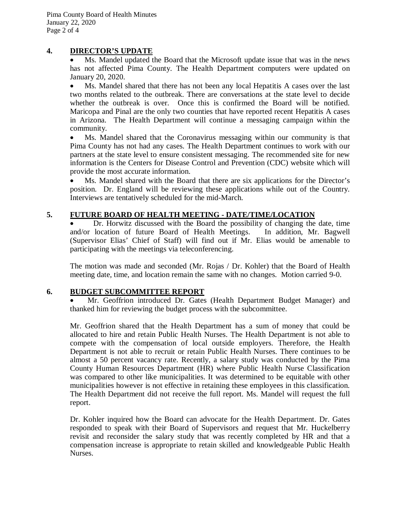#### **4. DIRECTOR'S UPDATE**

 Ms. Mandel updated the Board that the Microsoft update issue that was in the news has not affected Pima County. The Health Department computers were updated on January 20, 2020.

 Ms. Mandel shared that there has not been any local Hepatitis A cases over the last two months related to the outbreak. There are conversations at the state level to decide whether the outbreak is over. Once this is confirmed the Board will be notified. Maricopa and Pinal are the only two counties that have reported recent Hepatitis A cases in Arizona. The Health Department will continue a messaging campaign within the community.

 Ms. Mandel shared that the Coronavirus messaging within our community is that Pima County has not had any cases. The Health Department continues to work with our partners at the state level to ensure consistent messaging. The recommended site for new information is the Centers for Disease Control and Prevention (CDC) website which will provide the most accurate information.

 Ms. Mandel shared with the Board that there are six applications for the Director's position. Dr. England will be reviewing these applications while out of the Country. Interviews are tentatively scheduled for the mid-March.

### **5. FUTURE BOARD OF HEALTH MEETING - DATE/TIME/LOCATION**

• Dr. Horwitz discussed with the Board the possibility of changing the date, time and/or location of future Board of Health Meetings. In addition, Mr. Bagwell and/or location of future Board of Health Meetings. (Supervisor Elias' Chief of Staff) will find out if Mr. Elias would be amenable to participating with the meetings via teleconferencing.

The motion was made and seconded (Mr. Rojas / Dr. Kohler) that the Board of Health meeting date, time, and location remain the same with no changes. Motion carried 9-0.

#### **6. BUDGET SUBCOMMITTEE REPORT**

 Mr. Geoffrion introduced Dr. Gates (Health Department Budget Manager) and thanked him for reviewing the budget process with the subcommittee.

Mr. Geoffrion shared that the Health Department has a sum of money that could be allocated to hire and retain Public Health Nurses. The Health Department is not able to compete with the compensation of local outside employers. Therefore, the Health Department is not able to recruit or retain Public Health Nurses. There continues to be almost a 50 percent vacancy rate. Recently, a salary study was conducted by the Pima County Human Resources Department (HR) where Public Health Nurse Classification was compared to other like municipalities. It was determined to be equitable with other municipalities however is not effective in retaining these employees in this classification. The Health Department did not receive the full report. Ms. Mandel will request the full report.

Dr. Kohler inquired how the Board can advocate for the Health Department. Dr. Gates responded to speak with their Board of Supervisors and request that Mr. Huckelberry revisit and reconsider the salary study that was recently completed by HR and that a compensation increase is appropriate to retain skilled and knowledgeable Public Health Nurses.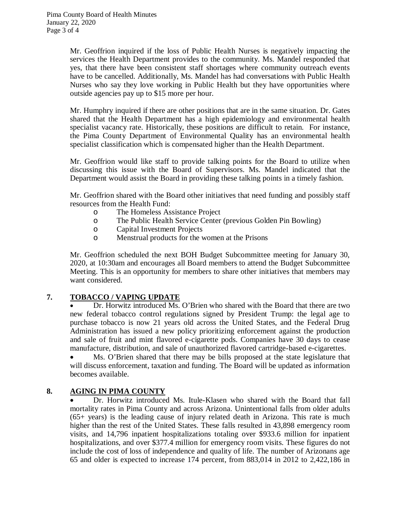Mr. Geoffrion inquired if the loss of Public Health Nurses is negatively impacting the services the Health Department provides to the community. Ms. Mandel responded that yes, that there have been consistent staff shortages where community outreach events have to be cancelled. Additionally, Ms. Mandel has had conversations with Public Health Nurses who say they love working in Public Health but they have opportunities where outside agencies pay up to \$15 more per hour.

Mr. Humphry inquired if there are other positions that are in the same situation. Dr. Gates shared that the Health Department has a high epidemiology and environmental health specialist vacancy rate. Historically, these positions are difficult to retain. For instance, the Pima County Department of Environmental Quality has an environmental health specialist classification which is compensated higher than the Health Department.

Mr. Geoffrion would like staff to provide talking points for the Board to utilize when discussing this issue with the Board of Supervisors. Ms. Mandel indicated that the Department would assist the Board in providing these talking points in a timely fashion.

Mr. Geoffrion shared with the Board other initiatives that need funding and possibly staff resources from the Health Fund:

- o The Homeless Assistance Project
- o The Public Health Service Center (previous Golden Pin Bowling)
- o Capital Investment Projects
- o Menstrual products for the women at the Prisons

Mr. Geoffrion scheduled the next BOH Budget Subcommittee meeting for January 30, 2020, at 10:30am and encourages all Board members to attend the Budget Subcommittee Meeting. This is an opportunity for members to share other initiatives that members may want considered.

# **7. TOBACCO / VAPING UPDATE**

 Dr. Horwitz introduced Ms. O'Brien who shared with the Board that there are two new federal tobacco control regulations signed by President Trump: the legal age to purchase tobacco is now 21 years old across the United States, and the Federal Drug Administration has issued a new policy prioritizing enforcement against the production and sale of fruit and mint flavored e-cigarette pods. Companies have 30 days to cease manufacture, distribution, and sale of unauthorized flavored cartridge-based e-cigarettes.

 Ms. O'Brien shared that there may be bills proposed at the state legislature that will discuss enforcement, taxation and funding. The Board will be updated as information becomes available.

# **8. AGING IN PIMA COUNTY**

 Dr. Horwitz introduced Ms. Itule-Klasen who shared with the Board that fall mortality rates in Pima County and across Arizona. Unintentional falls from older adults (65+ years) is the leading cause of injury related death in Arizona. This rate is much higher than the rest of the United States. These falls resulted in 43,898 emergency room visits, and 14,796 inpatient hospitalizations totaling over \$933.6 million for inpatient hospitalizations, and over \$377.4 million for emergency room visits. These figures do not include the cost of loss of independence and quality of life. The number of Arizonans age 65 and older is expected to increase 174 percent, from 883,014 in 2012 to 2,422,186 in